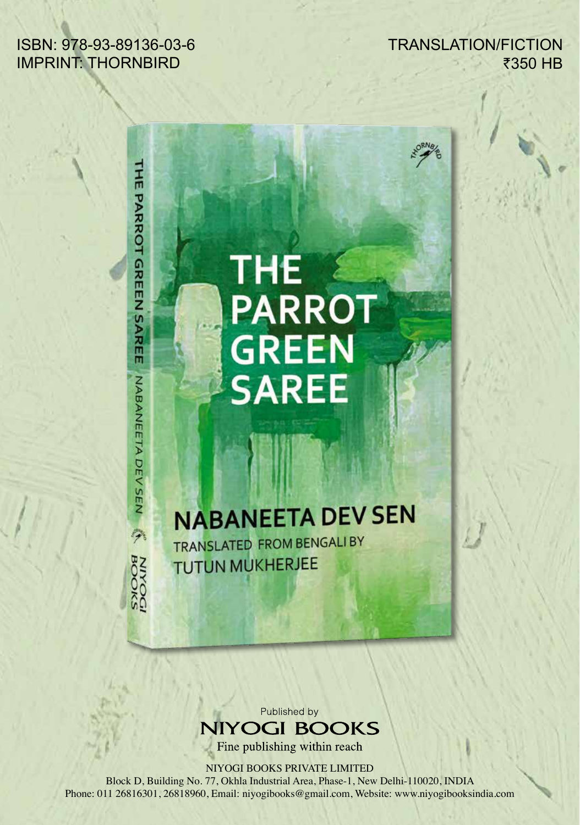## ISBN: 978-93-89136-03-6 IMPRINT: THORNBIRD

THE PARROT GREEN SAREE

NABANEETA DEV SEN AN BOOKS

TRANSLATION/FICTION ₹350 HB

## THE<br>PARROT **GREEN**<br>SAREE

## **NABANEETA DEV SEN**

TRANSLATED FROM BENGALI BY **TUTUN MUKHERJEE** 

> Published by **NIYOGI BOOKS**

Fine publishing within reach

NIYOGI BOOKS PRIVATE LIMITED

Block D, Building No. 77, Okhla Industrial Area, Phase-1, New Delhi-110020, INDIA Phone: 011 26816301, 26818960, Email: niyogibooks@gmail.com, Website: www.niyogibooksindia.com